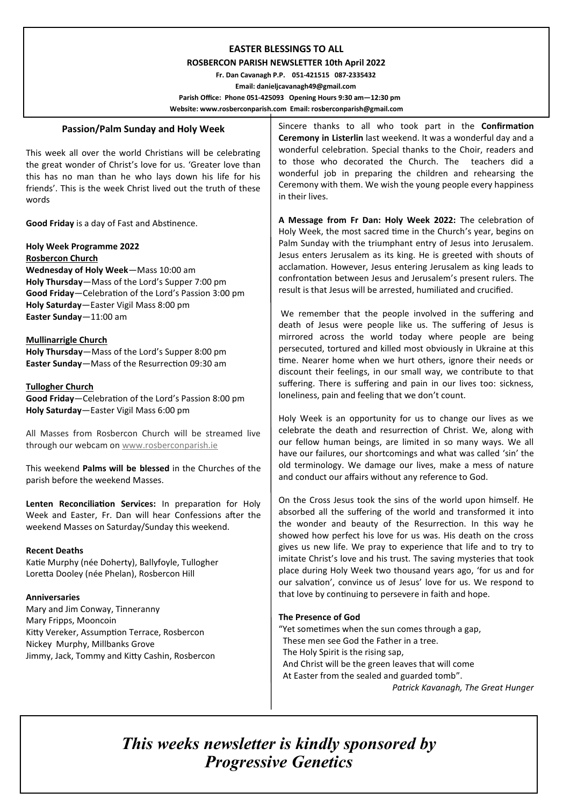# **EASTER BLESSINGS TO ALL**

#### **ROSBERCON PARISH NEWSLETTER 10th April 2022**

 **Fr. Dan Cavanagh P.P. 051-421515 087-2335432 Email: danieljcavanagh49@gmail.com Parish Office: Phone 051-425093****Opening Hours 9:30 am—12:30 pm Website: www.rosberconparish.com Email: rosberconparish@gmail.com**

## **Passion/Palm Sunday and Holy Week**

This week all over the world Christians will be celebrating the great wonder of Christ's love for us. 'Greater love than this has no man than he who lays down his life for his friends'. This is the week Christ lived out the truth of these words

**Good Friday** is a day of Fast and Abstinence.

**Holy Week Programme 2022 Rosbercon Church Wednesday of Holy Week**—Mass 10:00 am **Holy Thursday**—Mass of the Lord's Supper 7:00 pm **Good Friday**—Celebration of the Lord's Passion 3:00 pm **Holy Saturday**—Easter Vigil Mass 8:00 pm **Easter Sunday**—11:00 am

#### **Mullinarrigle Church**

**Holy Thursday**—Mass of the Lord's Supper 8:00 pm **Easter Sunday**—Mass of the Resurrection 09:30 am

#### **Tullogher Church**

**Good Friday**—Celebration of the Lord's Passion 8:00 pm **Holy Saturday**—Easter Vigil Mass 6:00 pm

All Masses from Rosbercon Church will be streamed live through our webcam on [www.rosberconparish.ie](http://www.rosberconparish.ie/)

This weekend **Palms will be blessed** in the Churches of the parish before the weekend Masses.

**Lenten Reconciliation Services:** In preparation for Holy Week and Easter, Fr. Dan will hear Confessions after the weekend Masses on Saturday/Sunday this weekend.

#### **Recent Deaths**

Katie Murphy (née Doherty), Ballyfoyle, Tullogher Loretta Dooley (née Phelan), Rosbercon Hill

#### **Anniversaries**

Mary and Jim Conway, Tinneranny Mary Fripps, Mooncoin Kitty Vereker, Assumption Terrace, Rosbercon Nickey Murphy, Millbanks Grove Jimmy, Jack, Tommy and Kitty Cashin, Rosbercon Sincere thanks to all who took part in the **Confirmation Ceremony in Listerlin** last weekend. It was a wonderful day and a wonderful celebration. Special thanks to the Choir, readers and to those who decorated the Church. The teachers did a wonderful job in preparing the children and rehearsing the Ceremony with them. We wish the young people every happiness in their lives.

**A Message from Fr Dan: Holy Week 2022:** The celebration of Holy Week, the most sacred time in the Church's year, begins on Palm Sunday with the triumphant entry of Jesus into Jerusalem. Jesus enters Jerusalem as its king. He is greeted with shouts of acclamation. However, Jesus entering Jerusalem as king leads to confrontation between Jesus and Jerusalem's present rulers. The result is that Jesus will be arrested, humiliated and crucified.

We remember that the people involved in the suffering and death of Jesus were people like us. The suffering of Jesus is mirrored across the world today where people are being persecuted, tortured and killed most obviously in Ukraine at this time. Nearer home when we hurt others, ignore their needs or discount their feelings, in our small way, we contribute to that suffering. There is suffering and pain in our lives too: sickness, loneliness, pain and feeling that we don't count.

Holy Week is an opportunity for us to change our lives as we celebrate the death and resurrection of Christ. We, along with our fellow human beings, are limited in so many ways. We all have our failures, our shortcomings and what was called 'sin' the old terminology. We damage our lives, make a mess of nature and conduct our affairs without any reference to God.

On the Cross Jesus took the sins of the world upon himself. He absorbed all the suffering of the world and transformed it into the wonder and beauty of the Resurrection. In this way he showed how perfect his love for us was. His death on the cross gives us new life. We pray to experience that life and to try to imitate Christ's love and his trust. The saving mysteries that took place during Holy Week two thousand years ago, 'for us and for our salvation', convince us of Jesus' love for us. We respond to that love by continuing to persevere in faith and hope.

#### **The Presence of God**

"Yet sometimes when the sun comes through a gap, These men see God the Father in a tree. The Holy Spirit is the rising sap, And Christ will be the green leaves that will come At Easter from the sealed and guarded tomb".  *Patrick Kavanagh, The Great Hunger*

*This weeks newsletter is kindly sponsored by Progressive Genetics*